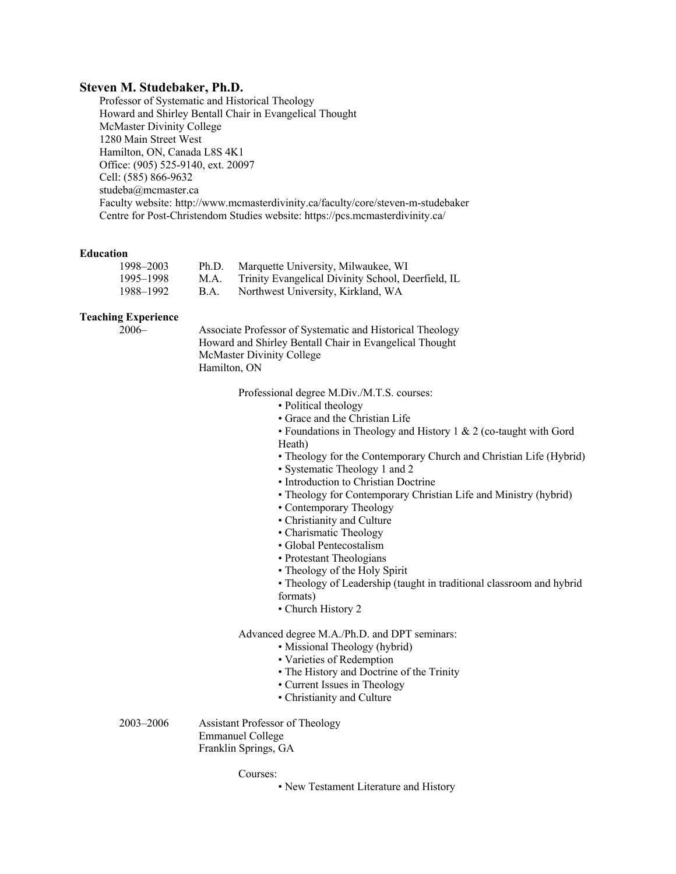## **Steven M. Studebaker, Ph.D.**

Professor of Systematic and Historical Theology Howard and Shirley Bentall Chair in Evangelical Thought McMaster Divinity College 1280 Main Street West Hamilton, ON, Canada L8S 4K1 Office: (905) 525-9140, ext. 20097 Cell: (585) 866-9632 studeba@mcmaster.ca Faculty website: http://www.mcmasterdivinity.ca/faculty/core/steven-m-studebaker Centre for Post-Christendom Studies website: https://pcs.mcmasterdivinity.ca/

### **Education**

| 1998–2003 | Ph.D. | Marquette University, Milwaukee, WI                |
|-----------|-------|----------------------------------------------------|
| 1995–1998 | M.A.  | Trinity Evangelical Divinity School, Deerfield, IL |
| 1988–1992 | B.A.  | Northwest University, Kirkland, WA                 |

#### **Teaching Experience**

2006– Associate Professor of Systematic and Historical Theology Howard and Shirley Bentall Chair in Evangelical Thought McMaster Divinity College Hamilton, ON

Professional degree M.Div./M.T.S. courses:

- Political theology
- Grace and the Christian Life

• Foundations in Theology and History 1 & 2 (co-taught with Gord Heath)

• Theology for the Contemporary Church and Christian Life (Hybrid)

- Systematic Theology 1 and 2
- Introduction to Christian Doctrine
- Theology for Contemporary Christian Life and Ministry (hybrid)
- Contemporary Theology
- Christianity and Culture
- Charismatic Theology
- Global Pentecostalism
- Protestant Theologians
- Theology of the Holy Spirit
- Theology of Leadership (taught in traditional classroom and hybrid
- formats)
- Church History 2

Advanced degree M.A./Ph.D. and DPT seminars:

- Missional Theology (hybrid)
- Varieties of Redemption
- The History and Doctrine of the Trinity
- Current Issues in Theology
- Christianity and Culture

2003–2006 Assistant Professor of Theology Emmanuel College Franklin Springs, GA

Courses:

• New Testament Literature and History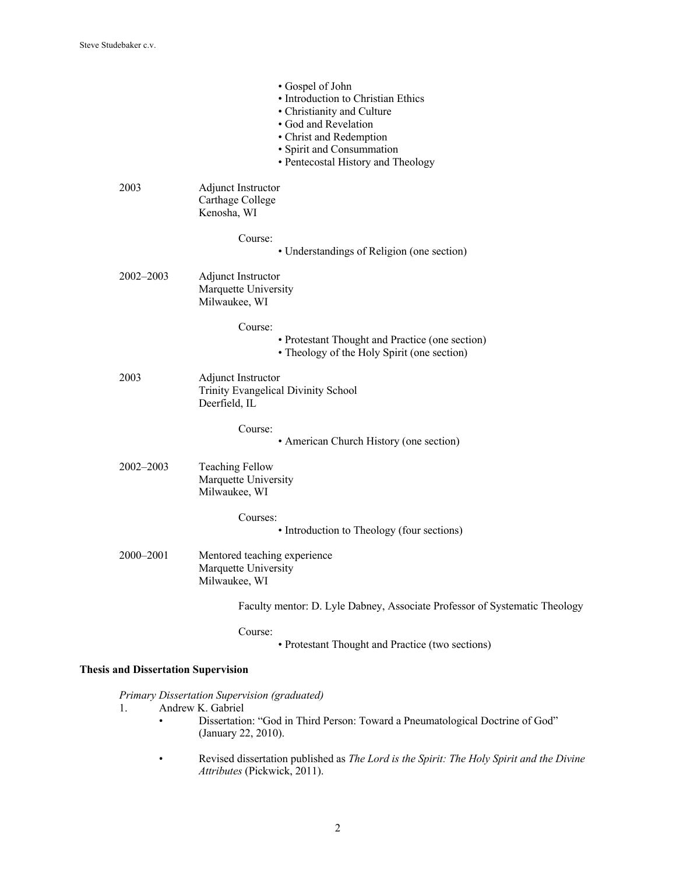|                                            | • Gospel of John<br>• Introduction to Christian Ethics<br>• Christianity and Culture<br>· God and Revelation<br>• Christ and Redemption<br>· Spirit and Consummation<br>• Pentecostal History and Theology |
|--------------------------------------------|------------------------------------------------------------------------------------------------------------------------------------------------------------------------------------------------------------|
| 2003                                       | <b>Adjunct Instructor</b><br>Carthage College<br>Kenosha, WI                                                                                                                                               |
|                                            | Course:<br>• Understandings of Religion (one section)                                                                                                                                                      |
| 2002-2003                                  | Adjunct Instructor<br>Marquette University<br>Milwaukee, WI                                                                                                                                                |
|                                            | Course:<br>• Protestant Thought and Practice (one section)<br>• Theology of the Holy Spirit (one section)                                                                                                  |
| 2003                                       | <b>Adjunct Instructor</b><br>Trinity Evangelical Divinity School<br>Deerfield, IL                                                                                                                          |
|                                            | Course:<br>• American Church History (one section)                                                                                                                                                         |
| 2002-2003                                  | <b>Teaching Fellow</b><br>Marquette University<br>Milwaukee, WI                                                                                                                                            |
|                                            | Courses:<br>• Introduction to Theology (four sections)                                                                                                                                                     |
| 2000-2001                                  | Mentored teaching experience<br>Marquette University<br>Milwaukee, WI                                                                                                                                      |
|                                            | Faculty mentor: D. Lyle Dabney, Associate Professor of Systematic Theology                                                                                                                                 |
|                                            | Course:<br>• Protestant Thought and Practice (two sections)                                                                                                                                                |
| <b>Thesis and Dissertation Supervision</b> |                                                                                                                                                                                                            |
| 1.                                         | Primary Dissertation Supervision (graduated)<br>Andrew K. Gabriel                                                                                                                                          |

- Dissertation: "God in Third Person: Toward a Pneumatological Doctrine of God" (January 22, 2010).
	- Revised dissertation published as *The Lord is the Spirit: The Holy Spirit and the Divine Attributes* (Pickwick, 2011).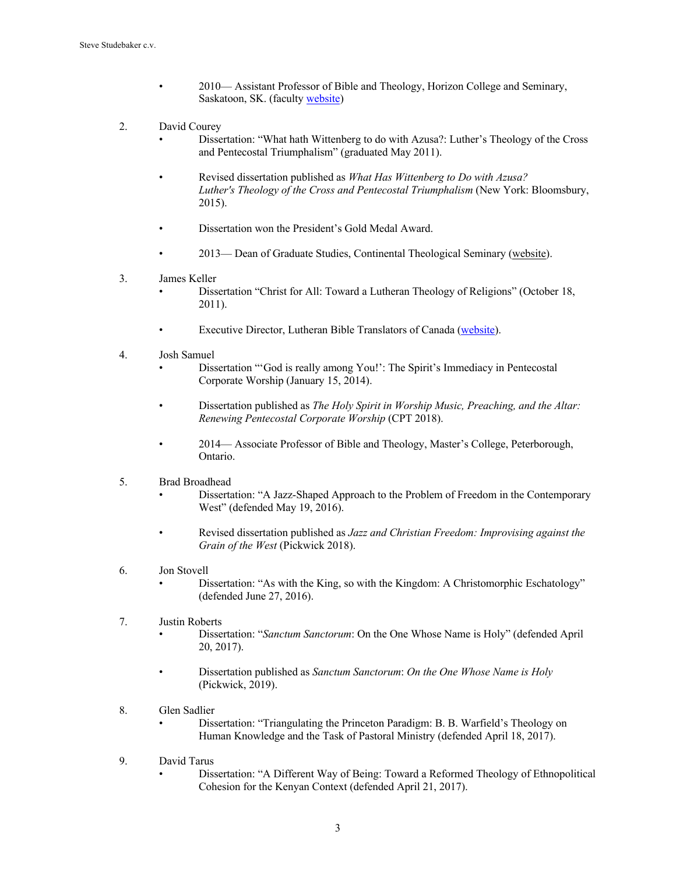- 2010— Assistant Professor of Bible and Theology, Horizon College and Seminary, Saskatoon, SK. (faculty website)
- 2. David Courey
	- Dissertation: "What hath Wittenberg to do with Azusa?: Luther's Theology of the Cross and Pentecostal Triumphalism" (graduated May 2011).
	- Revised dissertation published as *What Has Wittenberg to Do with Azusa? Luther's Theology of the Cross and Pentecostal Triumphalism* (New York: Bloomsbury, 2015).
	- Dissertation won the President's Gold Medal Award.
		- 2013— Dean of Graduate Studies, Continental Theological Seminary (website).
- 3. James Keller
	- Dissertation "Christ for All: Toward a Lutheran Theology of Religions" (October 18, 2011).
	- Executive Director, Lutheran Bible Translators of Canada (website).
- 4. Josh Samuel
	- Dissertation "'God is really among You!': The Spirit's Immediacy in Pentecostal Corporate Worship (January 15, 2014).
	- Dissertation published as *The Holy Spirit in Worship Music, Preaching, and the Altar: Renewing Pentecostal Corporate Worship* (CPT 2018).
	- 2014— Associate Professor of Bible and Theology, Master's College, Peterborough, Ontario.
- 5. Brad Broadhead
	- Dissertation: "A Jazz-Shaped Approach to the Problem of Freedom in the Contemporary West" (defended May 19, 2016).
	- Revised dissertation published as *Jazz and Christian Freedom: Improvising against the Grain of the West* (Pickwick 2018).
- 6. Jon Stovell
	- Dissertation: "As with the King, so with the Kingdom: A Christomorphic Eschatology" (defended June 27, 2016).
- 7. Justin Roberts
	- Dissertation: "*Sanctum Sanctorum*: On the One Whose Name is Holy" (defended April 20, 2017).
	- Dissertation published as *Sanctum Sanctorum*: *On the One Whose Name is Holy* (Pickwick, 2019).
- 8. Glen Sadlier
	- Dissertation: "Triangulating the Princeton Paradigm: B. B. Warfield's Theology on Human Knowledge and the Task of Pastoral Ministry (defended April 18, 2017).
- 9. David Tarus
	- Dissertation: "A Different Way of Being: Toward a Reformed Theology of Ethnopolitical Cohesion for the Kenyan Context (defended April 21, 2017).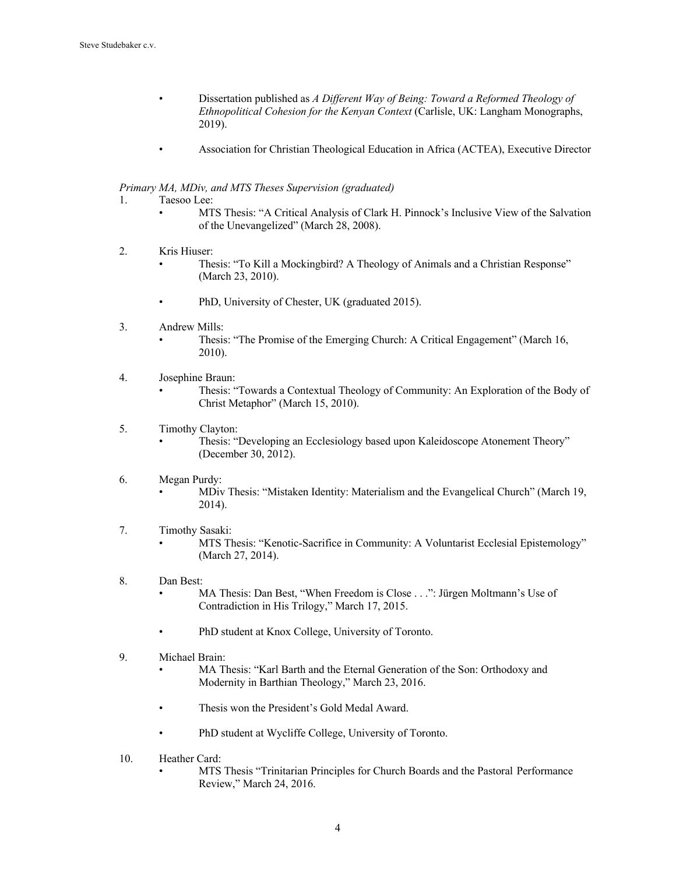- Dissertation published as *A Different Way of Being: Toward a Reformed Theology of Ethnopolitical Cohesion for the Kenyan Context* (Carlisle, UK: Langham Monographs, 2019).
- Association for Christian Theological Education in Africa (ACTEA), Executive Director

## *Primary MA, MDiv, and MTS Theses Supervision (graduated)*

- 1. Taesoo Lee:
	- MTS Thesis: "A Critical Analysis of Clark H. Pinnock's Inclusive View of the Salvation of the Unevangelized" (March 28, 2008).
- 2. Kris Hiuser:
	- Thesis: "To Kill a Mockingbird? A Theology of Animals and a Christian Response" (March 23, 2010).
	- PhD, University of Chester, UK (graduated 2015).
- 3. Andrew Mills:
	- Thesis: "The Promise of the Emerging Church: A Critical Engagement" (March 16, 2010).
- 4. Josephine Braun:
	- Thesis: "Towards a Contextual Theology of Community: An Exploration of the Body of Christ Metaphor" (March 15, 2010).

## 5. Timothy Clayton:

- Thesis: "Developing an Ecclesiology based upon Kaleidoscope Atonement Theory" (December 30, 2012).
- 6. Megan Purdy:
	- MDiv Thesis: "Mistaken Identity: Materialism and the Evangelical Church" (March 19, 2014).
- 7. Timothy Sasaki: • MTS Thesis: "Kenotic-Sacrifice in Community: A Voluntarist Ecclesial Epistemology" (March 27, 2014).
- 8. Dan Best:
	- MA Thesis: Dan Best, "When Freedom is Close . . .": Jürgen Moltmann's Use of Contradiction in His Trilogy," March 17, 2015.
	- PhD student at Knox College, University of Toronto.
- 9. Michael Brain:
	- MA Thesis: "Karl Barth and the Eternal Generation of the Son: Orthodoxy and Modernity in Barthian Theology," March 23, 2016.
	- Thesis won the President's Gold Medal Award.
	- PhD student at Wycliffe College, University of Toronto.
- 10. Heather Card:
	- MTS Thesis "Trinitarian Principles for Church Boards and the Pastoral Performance Review," March 24, 2016.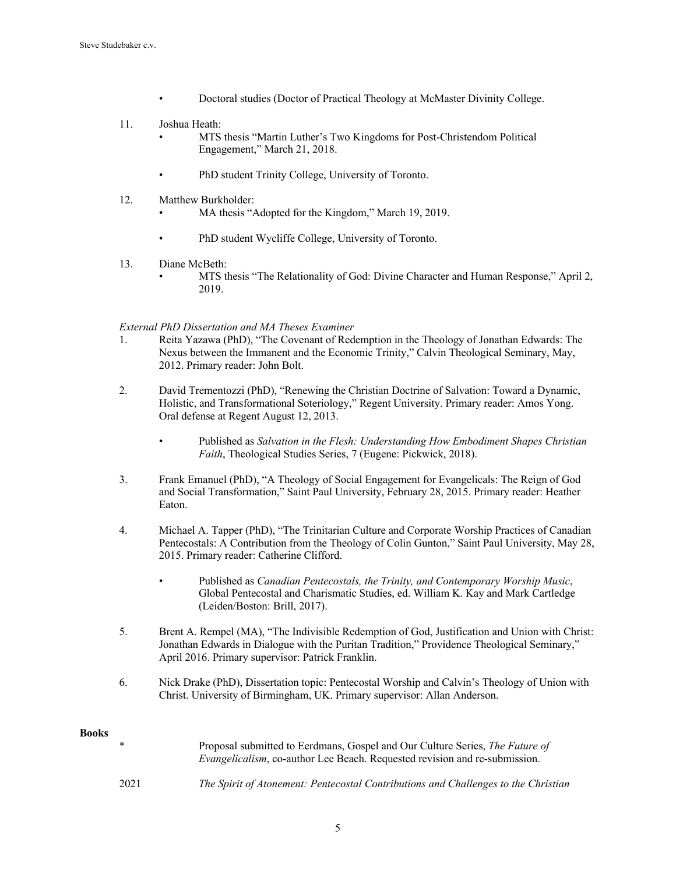- Doctoral studies (Doctor of Practical Theology at McMaster Divinity College.
- 11. Joshua Heath:
	- MTS thesis "Martin Luther's Two Kingdoms for Post-Christendom Political Engagement," March 21, 2018.
	- PhD student Trinity College, University of Toronto.
- 12. Matthew Burkholder:
	- MA thesis "Adopted for the Kingdom," March 19, 2019.
	- PhD student Wycliffe College, University of Toronto.
- 13. Diane McBeth:
	- MTS thesis "The Relationality of God: Divine Character and Human Response," April 2, 2019.

*External PhD Dissertation and MA Theses Examiner*

- 1. Reita Yazawa (PhD), "The Covenant of Redemption in the Theology of Jonathan Edwards: The Nexus between the Immanent and the Economic Trinity," Calvin Theological Seminary, May, 2012. Primary reader: John Bolt.
- 2. David Trementozzi (PhD), "Renewing the Christian Doctrine of Salvation: Toward a Dynamic, Holistic, and Transformational Soteriology," Regent University. Primary reader: Amos Yong. Oral defense at Regent August 12, 2013.
	- Published as *Salvation in the Flesh: Understanding How Embodiment Shapes Christian Faith*, Theological Studies Series, 7 (Eugene: Pickwick, 2018).
- 3. Frank Emanuel (PhD), "A Theology of Social Engagement for Evangelicals: The Reign of God and Social Transformation," Saint Paul University, February 28, 2015. Primary reader: Heather Eaton.
- 4. Michael A. Tapper (PhD), "The Trinitarian Culture and Corporate Worship Practices of Canadian Pentecostals: A Contribution from the Theology of Colin Gunton," Saint Paul University, May 28, 2015. Primary reader: Catherine Clifford.
	- Published as *Canadian Pentecostals, the Trinity, and Contemporary Worship Music*, Global Pentecostal and Charismatic Studies, ed. William K. Kay and Mark Cartledge (Leiden/Boston: Brill, 2017).
- 5. Brent A. Rempel (MA), "The Indivisible Redemption of God, Justification and Union with Christ: Jonathan Edwards in Dialogue with the Puritan Tradition," Providence Theological Seminary," April 2016. Primary supervisor: Patrick Franklin.
- 6. Nick Drake (PhD), Dissertation topic: Pentecostal Worship and Calvin's Theology of Union with Christ. University of Birmingham, UK. Primary supervisor: Allan Anderson.

### **Books**

| $\ast$ | Proposal submitted to Eerdmans, Gospel and Our Culture Series, The Future of<br><i>Evangelicalism</i> , co-author Lee Beach. Requested revision and re-submission. |
|--------|--------------------------------------------------------------------------------------------------------------------------------------------------------------------|
| 2021   | The Spirit of Atonement: Pentecostal Contributions and Challenges to the Christian                                                                                 |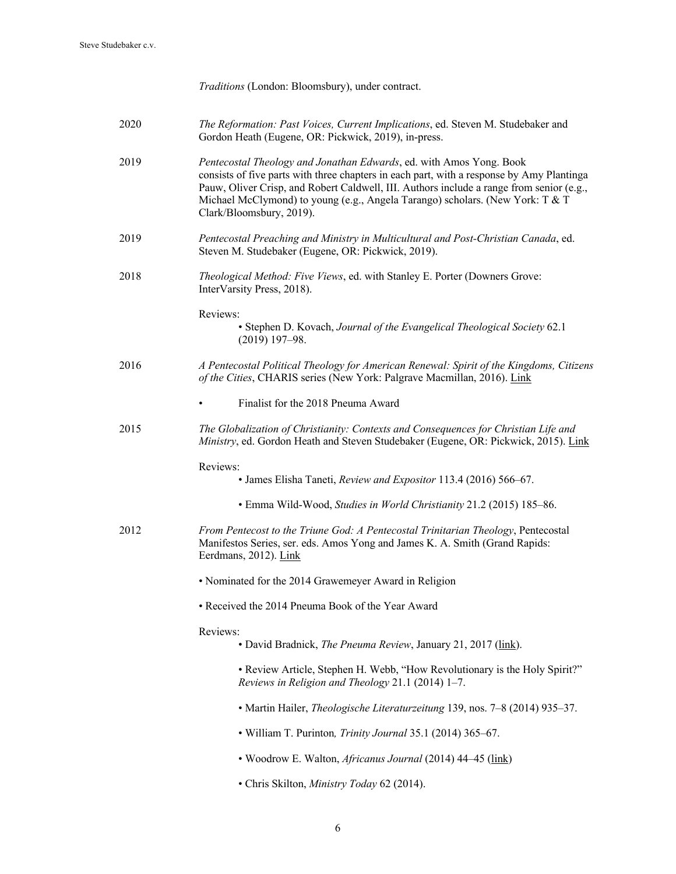|      | Traditions (London: Bloomsbury), under contract.                                                                                                                                                                                                                                                                                                                          |
|------|---------------------------------------------------------------------------------------------------------------------------------------------------------------------------------------------------------------------------------------------------------------------------------------------------------------------------------------------------------------------------|
| 2020 | The Reformation: Past Voices, Current Implications, ed. Steven M. Studebaker and<br>Gordon Heath (Eugene, OR: Pickwick, 2019), in-press.                                                                                                                                                                                                                                  |
| 2019 | Pentecostal Theology and Jonathan Edwards, ed. with Amos Yong. Book<br>consists of five parts with three chapters in each part, with a response by Amy Plantinga<br>Pauw, Oliver Crisp, and Robert Caldwell, III. Authors include a range from senior (e.g.,<br>Michael McClymond) to young (e.g., Angela Tarango) scholars. (New York: T & T<br>Clark/Bloomsbury, 2019). |
| 2019 | Pentecostal Preaching and Ministry in Multicultural and Post-Christian Canada, ed.<br>Steven M. Studebaker (Eugene, OR: Pickwick, 2019).                                                                                                                                                                                                                                  |
| 2018 | Theological Method: Five Views, ed. with Stanley E. Porter (Downers Grove:<br>InterVarsity Press, 2018).                                                                                                                                                                                                                                                                  |
|      | Reviews:<br>• Stephen D. Kovach, Journal of the Evangelical Theological Society 62.1<br>$(2019)$ 197-98.                                                                                                                                                                                                                                                                  |
| 2016 | A Pentecostal Political Theology for American Renewal: Spirit of the Kingdoms, Citizens<br>of the Cities, CHARIS series (New York: Palgrave Macmillan, 2016). Link                                                                                                                                                                                                        |
|      | Finalist for the 2018 Pneuma Award                                                                                                                                                                                                                                                                                                                                        |
| 2015 | The Globalization of Christianity: Contexts and Consequences for Christian Life and<br>Ministry, ed. Gordon Heath and Steven Studebaker (Eugene, OR: Pickwick, 2015). Link                                                                                                                                                                                                |
|      | Reviews:<br>• James Elisha Taneti, Review and Expositor 113.4 (2016) 566-67.                                                                                                                                                                                                                                                                                              |
|      | • Emma Wild-Wood, Studies in World Christianity 21.2 (2015) 185-86.                                                                                                                                                                                                                                                                                                       |
| 2012 | From Pentecost to the Triune God: A Pentecostal Trinitarian Theology, Pentecostal<br>Manifestos Series, ser. eds. Amos Yong and James K. A. Smith (Grand Rapids:<br>Eerdmans, 2012). Link                                                                                                                                                                                 |
|      | • Nominated for the 2014 Grawemeyer Award in Religion                                                                                                                                                                                                                                                                                                                     |
|      | • Received the 2014 Pneuma Book of the Year Award                                                                                                                                                                                                                                                                                                                         |
|      | Reviews:<br>• David Bradnick, The Pneuma Review, January 21, 2017 (link).                                                                                                                                                                                                                                                                                                 |
|      | • Review Article, Stephen H. Webb, "How Revolutionary is the Holy Spirit?"<br>Reviews in Religion and Theology 21.1 (2014) 1-7.                                                                                                                                                                                                                                           |
|      | • Martin Hailer, <i>Theologische Literaturzeitung</i> 139, nos. 7–8 (2014) 935–37.                                                                                                                                                                                                                                                                                        |
|      | • William T. Purinton, Trinity Journal 35.1 (2014) 365-67.                                                                                                                                                                                                                                                                                                                |
|      | • Woodrow E. Walton, <i>Africanus Journal</i> (2014) 44–45 (link)                                                                                                                                                                                                                                                                                                         |
|      | • Chris Skilton, Ministry Today 62 (2014).                                                                                                                                                                                                                                                                                                                                |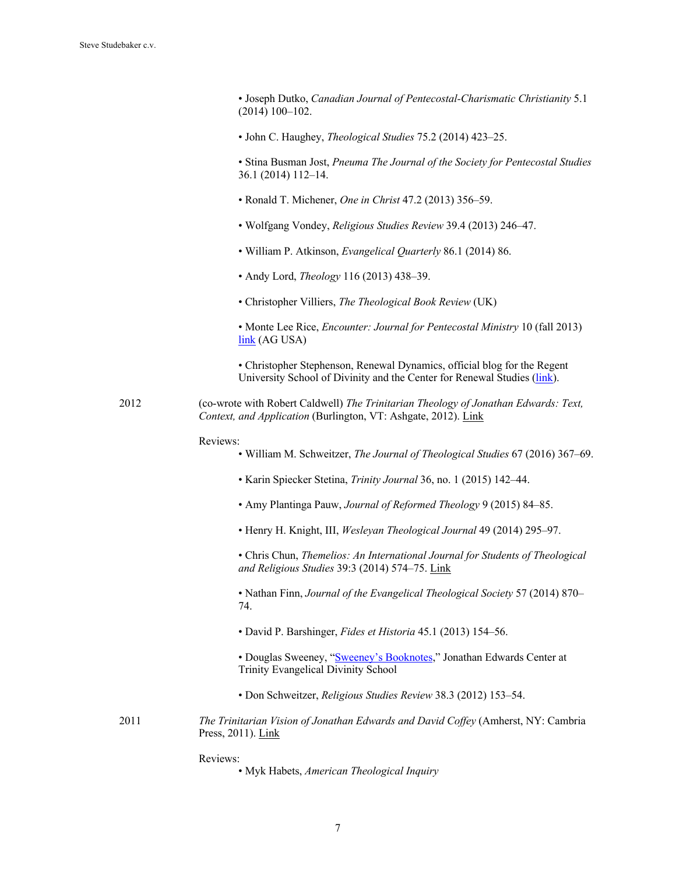• Joseph Dutko, *Canadian Journal of Pentecostal-Charismatic Christianity* 5.1 (2014) 100–102.

• John C. Haughey, *Theological Studies* 75.2 (2014) 423–25.

• Stina Busman Jost, *Pneuma The Journal of the Society for Pentecostal Studies* 36.1 (2014) 112–14.

- Ronald T. Michener, *One in Christ* 47.2 (2013) 356–59.
- Wolfgang Vondey, *Religious Studies Review* 39.4 (2013) 246–47.
- William P. Atkinson, *Evangelical Quarterly* 86.1 (2014) 86.
- Andy Lord, *Theology* 116 (2013) 438–39.
- Christopher Villiers, *The Theological Book Review* (UK)

• Monte Lee Rice, *Encounter: Journal for Pentecostal Ministry* 10 (fall 2013) link (AG USA)

• Christopher Stephenson, Renewal Dynamics, official blog for the Regent University School of Divinity and the Center for Renewal Studies (link).

2012 (co-wrote with Robert Caldwell) *The Trinitarian Theology of Jonathan Edwards: Text, Context, and Application* (Burlington, VT: Ashgate, 2012). Link

#### Reviews:

- William M. Schweitzer, *The Journal of Theological Studies* 67 (2016) 367–69.
- Karin Spiecker Stetina, *Trinity Journal* 36, no. 1 (2015) 142–44.
- Amy Plantinga Pauw, *Journal of Reformed Theology* 9 (2015) 84–85.
- Henry H. Knight, III, *Wesleyan Theological Journal* 49 (2014) 295–97.

• Chris Chun, *Themelios: An International Journal for Students of Theological and Religious Studies* 39:3 (2014) 574–75. Link

• Nathan Finn, *Journal of the Evangelical Theological Society* 57 (2014) 870– 74.

• David P. Barshinger, *Fides et Historia* 45.1 (2013) 154–56.

• Douglas Sweeney, "Sweeney's Booknotes," Jonathan Edwards Center at Trinity Evangelical Divinity School

- Don Schweitzer, *Religious Studies Review* 38.3 (2012) 153–54.
- 2011 *The Trinitarian Vision of Jonathan Edwards and David Coffey* (Amherst, NY: Cambria Press, 2011). Link

Reviews:

• Myk Habets, *American Theological Inquiry*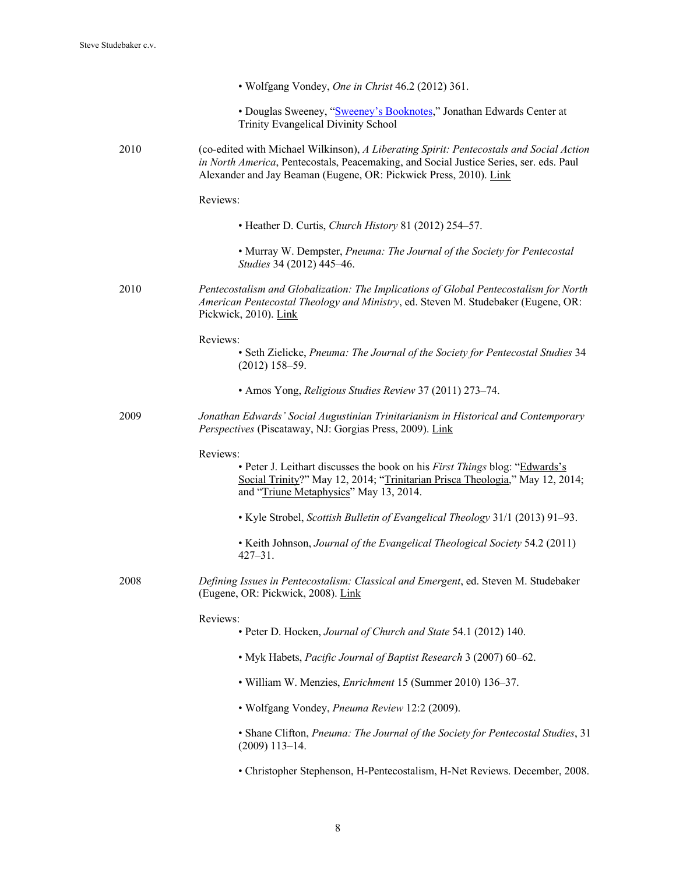|      | • Wolfgang Vondey, One in Christ 46.2 (2012) 361.                                                                                                                                                                                                      |
|------|--------------------------------------------------------------------------------------------------------------------------------------------------------------------------------------------------------------------------------------------------------|
|      | • Douglas Sweeney, "Sweeney's Booknotes," Jonathan Edwards Center at<br>Trinity Evangelical Divinity School                                                                                                                                            |
| 2010 | (co-edited with Michael Wilkinson), A Liberating Spirit: Pentecostals and Social Action<br>in North America, Pentecostals, Peacemaking, and Social Justice Series, ser. eds. Paul<br>Alexander and Jay Beaman (Eugene, OR: Pickwick Press, 2010). Link |
|      | Reviews:                                                                                                                                                                                                                                               |
|      | • Heather D. Curtis, Church History 81 (2012) 254-57.                                                                                                                                                                                                  |
|      | • Murray W. Dempster, Pneuma: The Journal of the Society for Pentecostal<br>Studies 34 (2012) 445-46.                                                                                                                                                  |
| 2010 | Pentecostalism and Globalization: The Implications of Global Pentecostalism for North<br>American Pentecostal Theology and Ministry, ed. Steven M. Studebaker (Eugene, OR:<br>Pickwick, 2010). Link                                                    |
|      | Reviews:                                                                                                                                                                                                                                               |
|      | • Seth Zielicke, Pneuma: The Journal of the Society for Pentecostal Studies 34<br>$(2012)$ 158-59.                                                                                                                                                     |
|      | • Amos Yong, Religious Studies Review 37 (2011) 273-74.                                                                                                                                                                                                |
| 2009 | Jonathan Edwards' Social Augustinian Trinitarianism in Historical and Contemporary<br>Perspectives (Piscataway, NJ: Gorgias Press, 2009). Link                                                                                                         |
|      | Reviews:<br>• Peter J. Leithart discusses the book on his First Things blog: "Edwards's<br>Social Trinity?" May 12, 2014; "Trinitarian Prisca Theologia," May 12, 2014;<br>and "Triune Metaphysics" May 13, 2014.                                      |
|      | • Kyle Strobel, Scottish Bulletin of Evangelical Theology 31/1 (2013) 91-93.                                                                                                                                                                           |
|      | • Keith Johnson, Journal of the Evangelical Theological Society 54.2 (2011)<br>$427 - 31$ .                                                                                                                                                            |
| 2008 | Defining Issues in Pentecostalism: Classical and Emergent, ed. Steven M. Studebaker<br>(Eugene, OR: Pickwick, 2008). Link                                                                                                                              |
|      | Reviews:                                                                                                                                                                                                                                               |
|      | • Peter D. Hocken, Journal of Church and State 54.1 (2012) 140.                                                                                                                                                                                        |
|      | • Myk Habets, Pacific Journal of Baptist Research 3 (2007) 60-62.                                                                                                                                                                                      |
|      | • William W. Menzies, <i>Enrichment</i> 15 (Summer 2010) 136-37.                                                                                                                                                                                       |
|      | • Wolfgang Vondey, Pneuma Review 12:2 (2009).                                                                                                                                                                                                          |
|      | • Shane Clifton, Pneuma: The Journal of the Society for Pentecostal Studies, 31<br>$(2009)$ 113-14.                                                                                                                                                    |
|      | • Christopher Stephenson, H-Pentecostalism, H-Net Reviews. December, 2008.                                                                                                                                                                             |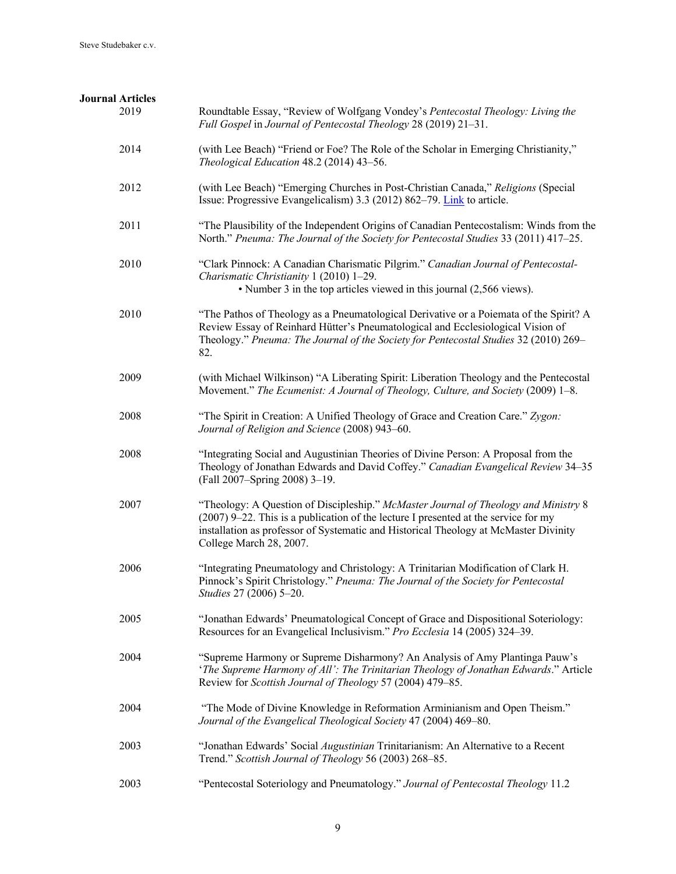| <b>Journal Articles</b> |                                                                                                                                                                                                                                                                                               |
|-------------------------|-----------------------------------------------------------------------------------------------------------------------------------------------------------------------------------------------------------------------------------------------------------------------------------------------|
| 2019                    | Roundtable Essay, "Review of Wolfgang Vondey's Pentecostal Theology: Living the<br>Full Gospel in Journal of Pentecostal Theology 28 (2019) 21-31.                                                                                                                                            |
| 2014                    | (with Lee Beach) "Friend or Foe? The Role of the Scholar in Emerging Christianity,"<br>Theological Education 48.2 (2014) 43-56.                                                                                                                                                               |
| 2012                    | (with Lee Beach) "Emerging Churches in Post-Christian Canada," Religions (Special<br>Issue: Progressive Evangelicalism) 3.3 (2012) 862-79. Link to article.                                                                                                                                   |
| 2011                    | "The Plausibility of the Independent Origins of Canadian Pentecostalism: Winds from the<br>North." Pneuma: The Journal of the Society for Pentecostal Studies 33 (2011) 417–25.                                                                                                               |
| 2010                    | "Clark Pinnock: A Canadian Charismatic Pilgrim." Canadian Journal of Pentecostal-<br>Charismatic Christianity 1 (2010) 1-29.<br>• Number 3 in the top articles viewed in this journal (2,566 views).                                                                                          |
| 2010                    | "The Pathos of Theology as a Pneumatological Derivative or a Poiemata of the Spirit? A<br>Review Essay of Reinhard Hütter's Pneumatological and Ecclesiological Vision of<br>Theology." Pneuma: The Journal of the Society for Pentecostal Studies 32 (2010) 269–<br>82.                      |
| 2009                    | (with Michael Wilkinson) "A Liberating Spirit: Liberation Theology and the Pentecostal<br>Movement." The Ecumenist: A Journal of Theology, Culture, and Society (2009) 1-8.                                                                                                                   |
| 2008                    | "The Spirit in Creation: A Unified Theology of Grace and Creation Care." Zygon:<br>Journal of Religion and Science (2008) 943-60.                                                                                                                                                             |
| 2008                    | "Integrating Social and Augustinian Theories of Divine Person: A Proposal from the<br>Theology of Jonathan Edwards and David Coffey." Canadian Evangelical Review 34-35<br>(Fall 2007-Spring 2008) 3-19.                                                                                      |
| 2007                    | "Theology: A Question of Discipleship." McMaster Journal of Theology and Ministry 8<br>(2007) 9–22. This is a publication of the lecture I presented at the service for my<br>installation as professor of Systematic and Historical Theology at McMaster Divinity<br>College March 28, 2007. |
| 2006                    | "Integrating Pneumatology and Christology: A Trinitarian Modification of Clark H.<br>Pinnock's Spirit Christology." Pneuma: The Journal of the Society for Pentecostal<br>Studies 27 (2006) 5-20.                                                                                             |
| 2005                    | "Jonathan Edwards' Pneumatological Concept of Grace and Dispositional Soteriology:<br>Resources for an Evangelical Inclusivism." Pro Ecclesia 14 (2005) 324–39.                                                                                                                               |
| 2004                    | "Supreme Harmony or Supreme Disharmony? An Analysis of Amy Plantinga Pauw's<br>'The Supreme Harmony of All': The Trinitarian Theology of Jonathan Edwards." Article<br>Review for Scottish Journal of Theology 57 (2004) 479-85.                                                              |
| 2004                    | "The Mode of Divine Knowledge in Reformation Arminianism and Open Theism."<br>Journal of the Evangelical Theological Society 47 (2004) 469-80.                                                                                                                                                |
| 2003                    | "Jonathan Edwards' Social Augustinian Trinitarianism: An Alternative to a Recent<br>Trend." Scottish Journal of Theology 56 (2003) 268-85.                                                                                                                                                    |
| 2003                    | "Pentecostal Soteriology and Pneumatology." Journal of Pentecostal Theology 11.2                                                                                                                                                                                                              |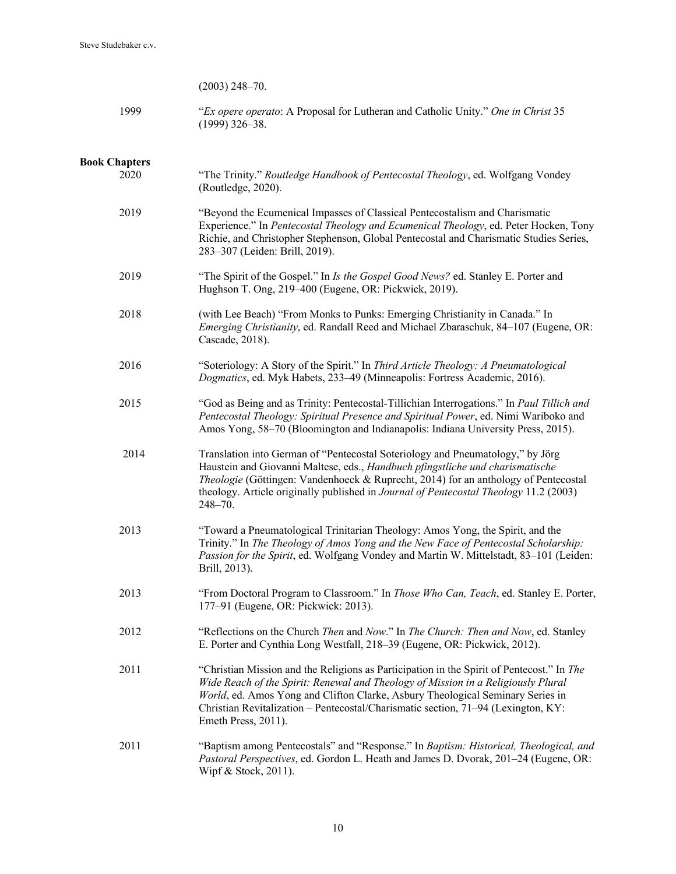| $(2003)$ 248-70. |  |
|------------------|--|
|------------------|--|

| 1999 | "Ex opere operato: A Proposal for Lutheran and Catholic Unity." One in Christ 35 |
|------|----------------------------------------------------------------------------------|
|      | $(1999)$ 326–38.                                                                 |

## **Book Chapters**

| 2020 | "The Trinity." Routledge Handbook of Pentecostal Theology, ed. Wolfgang Vondey<br>(Routledge, 2020).                                                                                                                                                                                                                                                                         |
|------|------------------------------------------------------------------------------------------------------------------------------------------------------------------------------------------------------------------------------------------------------------------------------------------------------------------------------------------------------------------------------|
| 2019 | "Beyond the Ecumenical Impasses of Classical Pentecostalism and Charismatic<br>Experience." In Pentecostal Theology and Ecumenical Theology, ed. Peter Hocken, Tony<br>Richie, and Christopher Stephenson, Global Pentecostal and Charismatic Studies Series,<br>283-307 (Leiden: Brill, 2019).                                                                              |
| 2019 | "The Spirit of the Gospel." In Is the Gospel Good News? ed. Stanley E. Porter and<br>Hughson T. Ong, 219-400 (Eugene, OR: Pickwick, 2019).                                                                                                                                                                                                                                   |
| 2018 | (with Lee Beach) "From Monks to Punks: Emerging Christianity in Canada." In<br>Emerging Christianity, ed. Randall Reed and Michael Zbaraschuk, 84-107 (Eugene, OR:<br>Cascade, 2018).                                                                                                                                                                                        |
| 2016 | "Soteriology: A Story of the Spirit." In Third Article Theology: A Pneumatological<br>Dogmatics, ed. Myk Habets, 233-49 (Minneapolis: Fortress Academic, 2016).                                                                                                                                                                                                              |
| 2015 | "God as Being and as Trinity: Pentecostal-Tillichian Interrogations." In Paul Tillich and<br>Pentecostal Theology: Spiritual Presence and Spiritual Power, ed. Nimi Wariboko and<br>Amos Yong, 58-70 (Bloomington and Indianapolis: Indiana University Press, 2015).                                                                                                         |
| 2014 | Translation into German of "Pentecostal Soteriology and Pneumatology," by Jörg<br>Haustein and Giovanni Maltese, eds., Handbuch pfingstliche und charismatische<br>Theologie (Göttingen: Vandenhoeck & Ruprecht, 2014) for an anthology of Pentecostal<br>theology. Article originally published in Journal of Pentecostal Theology 11.2 (2003)<br>248-70.                   |
| 2013 | "Toward a Pneumatological Trinitarian Theology: Amos Yong, the Spirit, and the<br>Trinity." In The Theology of Amos Yong and the New Face of Pentecostal Scholarship:<br>Passion for the Spirit, ed. Wolfgang Vondey and Martin W. Mittelstadt, 83-101 (Leiden:<br>Brill, 2013).                                                                                             |
| 2013 | "From Doctoral Program to Classroom." In Those Who Can, Teach, ed. Stanley E. Porter,<br>177-91 (Eugene, OR: Pickwick: 2013).                                                                                                                                                                                                                                                |
| 2012 | "Reflections on the Church Then and Now." In The Church: Then and Now, ed. Stanley<br>E. Porter and Cynthia Long Westfall, 218-39 (Eugene, OR: Pickwick, 2012).                                                                                                                                                                                                              |
| 2011 | "Christian Mission and the Religions as Participation in the Spirit of Pentecost." In The<br>Wide Reach of the Spirit: Renewal and Theology of Mission in a Religiously Plural<br>World, ed. Amos Yong and Clifton Clarke, Asbury Theological Seminary Series in<br>Christian Revitalization - Pentecostal/Charismatic section, 71-94 (Lexington, KY:<br>Emeth Press, 2011). |
| 2011 | "Baptism among Pentecostals" and "Response." In Baptism: Historical, Theological, and<br>Pastoral Perspectives, ed. Gordon L. Heath and James D. Dvorak, 201-24 (Eugene, OR:<br>Wipf & Stock, 2011).                                                                                                                                                                         |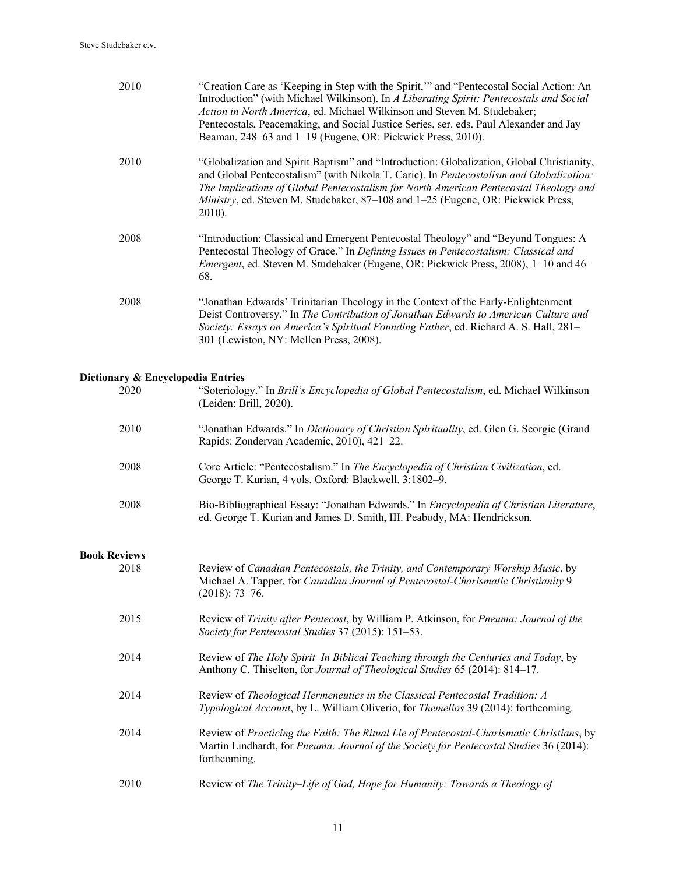| 2010                              | "Creation Care as 'Keeping in Step with the Spirit," and "Pentecostal Social Action: An<br>Introduction" (with Michael Wilkinson). In A Liberating Spirit: Pentecostals and Social<br>Action in North America, ed. Michael Wilkinson and Steven M. Studebaker;<br>Pentecostals, Peacemaking, and Social Justice Series, ser. eds. Paul Alexander and Jay<br>Beaman, 248–63 and 1–19 (Eugene, OR: Pickwick Press, 2010). |
|-----------------------------------|-------------------------------------------------------------------------------------------------------------------------------------------------------------------------------------------------------------------------------------------------------------------------------------------------------------------------------------------------------------------------------------------------------------------------|
| 2010                              | "Globalization and Spirit Baptism" and "Introduction: Globalization, Global Christianity,<br>and Global Pentecostalism" (with Nikola T. Caric). In Pentecostalism and Globalization:<br>The Implications of Global Pentecostalism for North American Pentecostal Theology and<br>Ministry, ed. Steven M. Studebaker, 87–108 and 1–25 (Eugene, OR: Pickwick Press,<br>2010).                                             |
| 2008                              | "Introduction: Classical and Emergent Pentecostal Theology" and "Beyond Tongues: A<br>Pentecostal Theology of Grace." In Defining Issues in Pentecostalism: Classical and<br>Emergent, ed. Steven M. Studebaker (Eugene, OR: Pickwick Press, 2008), 1-10 and 46-<br>68.                                                                                                                                                 |
| 2008                              | "Jonathan Edwards' Trinitarian Theology in the Context of the Early-Enlightenment<br>Deist Controversy." In The Contribution of Jonathan Edwards to American Culture and<br>Society: Essays on America's Spiritual Founding Father, ed. Richard A. S. Hall, 281–<br>301 (Lewiston, NY: Mellen Press, 2008).                                                                                                             |
| Dictionary & Encyclopedia Entries |                                                                                                                                                                                                                                                                                                                                                                                                                         |
| 2020                              | "Soteriology." In Brill's Encyclopedia of Global Pentecostalism, ed. Michael Wilkinson<br>(Leiden: Brill, 2020).                                                                                                                                                                                                                                                                                                        |
| 2010                              | "Jonathan Edwards." In Dictionary of Christian Spirituality, ed. Glen G. Scorgie (Grand<br>Rapids: Zondervan Academic, 2010), 421-22.                                                                                                                                                                                                                                                                                   |
| 2008                              | Core Article: "Pentecostalism." In The Encyclopedia of Christian Civilization, ed.<br>George T. Kurian, 4 vols. Oxford: Blackwell. 3:1802-9.                                                                                                                                                                                                                                                                            |
| 2008                              | Bio-Bibliographical Essay: "Jonathan Edwards." In Encyclopedia of Christian Literature,                                                                                                                                                                                                                                                                                                                                 |

## **Book Reviews**

| k Reviews |                                                                                                                                                                                                     |
|-----------|-----------------------------------------------------------------------------------------------------------------------------------------------------------------------------------------------------|
| 2018      | Review of Canadian Pentecostals, the Trinity, and Contemporary Worship Music, by<br>Michael A. Tapper, for Canadian Journal of Pentecostal-Charismatic Christianity 9<br>$(2018): 73-76.$           |
| 2015      | Review of Trinity after Pentecost, by William P. Atkinson, for Pneuma: Journal of the<br>Society for Pentecostal Studies 37 (2015): 151–53.                                                         |
| 2014      | Review of The Holy Spirit-In Biblical Teaching through the Centuries and Today, by<br>Anthony C. Thiselton, for Journal of Theological Studies 65 (2014): 814–17.                                   |
| 2014      | Review of Theological Hermeneutics in the Classical Pentecostal Tradition: A<br>Typological Account, by L. William Oliverio, for Themelios 39 (2014): forthcoming.                                  |
| 2014      | Review of Practicing the Faith: The Ritual Lie of Pentecostal-Charismatic Christians, by<br>Martin Lindhardt, for Pneuma: Journal of the Society for Pentecostal Studies 36 (2014):<br>forthcoming. |
| 2010      | Review of The Trinity–Life of God, Hope for Humanity: Towards a Theology of                                                                                                                         |

ed. George T. Kurian and James D. Smith, III. Peabody, MA: Hendrickson.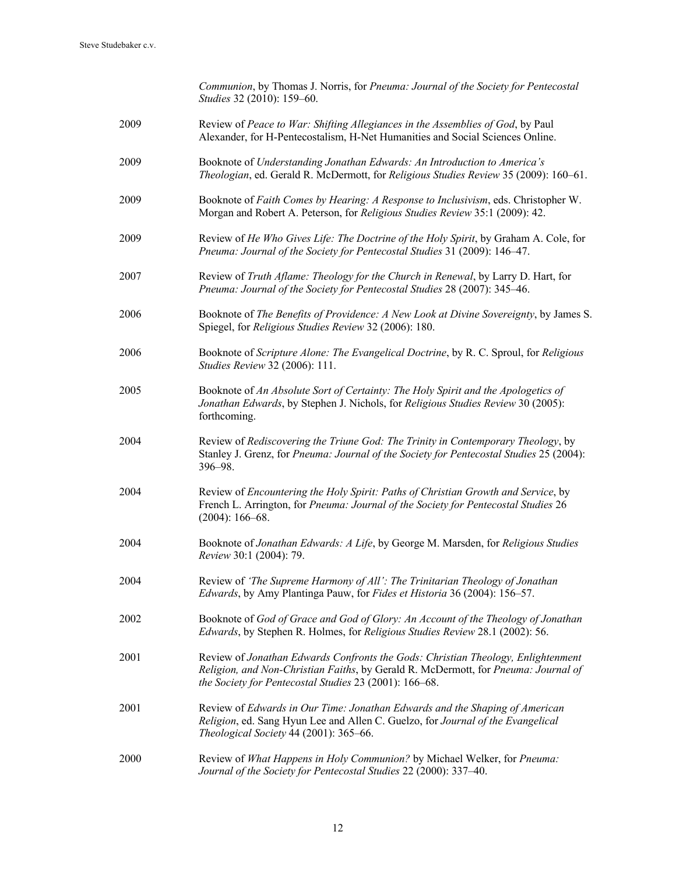|      | Communion, by Thomas J. Norris, for Pneuma: Journal of the Society for Pentecostal<br>Studies 32 (2010): 159-60.                                                                                                                 |
|------|----------------------------------------------------------------------------------------------------------------------------------------------------------------------------------------------------------------------------------|
| 2009 | Review of Peace to War: Shifting Allegiances in the Assemblies of God, by Paul<br>Alexander, for H-Pentecostalism, H-Net Humanities and Social Sciences Online.                                                                  |
| 2009 | Booknote of Understanding Jonathan Edwards: An Introduction to America's<br>Theologian, ed. Gerald R. McDermott, for Religious Studies Review 35 (2009): 160–61.                                                                 |
| 2009 | Booknote of Faith Comes by Hearing: A Response to Inclusivism, eds. Christopher W.<br>Morgan and Robert A. Peterson, for Religious Studies Review 35:1 (2009): 42.                                                               |
| 2009 | Review of He Who Gives Life: The Doctrine of the Holy Spirit, by Graham A. Cole, for<br>Pneuma: Journal of the Society for Pentecostal Studies 31 (2009): 146-47.                                                                |
| 2007 | Review of Truth Aflame: Theology for the Church in Renewal, by Larry D. Hart, for<br>Pneuma: Journal of the Society for Pentecostal Studies 28 (2007): 345-46.                                                                   |
| 2006 | Booknote of The Benefits of Providence: A New Look at Divine Sovereignty, by James S.<br>Spiegel, for Religious Studies Review 32 (2006): 180.                                                                                   |
| 2006 | Booknote of Scripture Alone: The Evangelical Doctrine, by R. C. Sproul, for Religious<br>Studies Review 32 (2006): 111.                                                                                                          |
| 2005 | Booknote of An Absolute Sort of Certainty: The Holy Spirit and the Apologetics of<br>Jonathan Edwards, by Stephen J. Nichols, for Religious Studies Review 30 (2005):<br>forthcoming.                                            |
| 2004 | Review of Rediscovering the Triune God: The Trinity in Contemporary Theology, by<br>Stanley J. Grenz, for Pneuma: Journal of the Society for Pentecostal Studies 25 (2004):<br>396-98.                                           |
| 2004 | Review of Encountering the Holy Spirit: Paths of Christian Growth and Service, by<br>French L. Arrington, for Pneuma: Journal of the Society for Pentecostal Studies 26<br>$(2004): 166 - 68.$                                   |
| 2004 | Booknote of Jonathan Edwards: A Life, by George M. Marsden, for Religious Studies<br>Review 30:1 (2004): 79.                                                                                                                     |
| 2004 | Review of 'The Supreme Harmony of All': The Trinitarian Theology of Jonathan<br>Edwards, by Amy Plantinga Pauw, for Fides et Historia 36 (2004): 156-57.                                                                         |
| 2002 | Booknote of God of Grace and God of Glory: An Account of the Theology of Jonathan<br>Edwards, by Stephen R. Holmes, for Religious Studies Review 28.1 (2002): 56.                                                                |
| 2001 | Review of Jonathan Edwards Confronts the Gods: Christian Theology, Enlightenment<br>Religion, and Non-Christian Faiths, by Gerald R. McDermott, for Pneuma: Journal of<br>the Society for Pentecostal Studies 23 (2001): 166-68. |
| 2001 | Review of Edwards in Our Time: Jonathan Edwards and the Shaping of American<br>Religion, ed. Sang Hyun Lee and Allen C. Guelzo, for Journal of the Evangelical<br>Theological Society 44 (2001): 365-66.                         |
| 2000 | Review of What Happens in Holy Communion? by Michael Welker, for Pneuma:<br>Journal of the Society for Pentecostal Studies 22 (2000): 337-40.                                                                                    |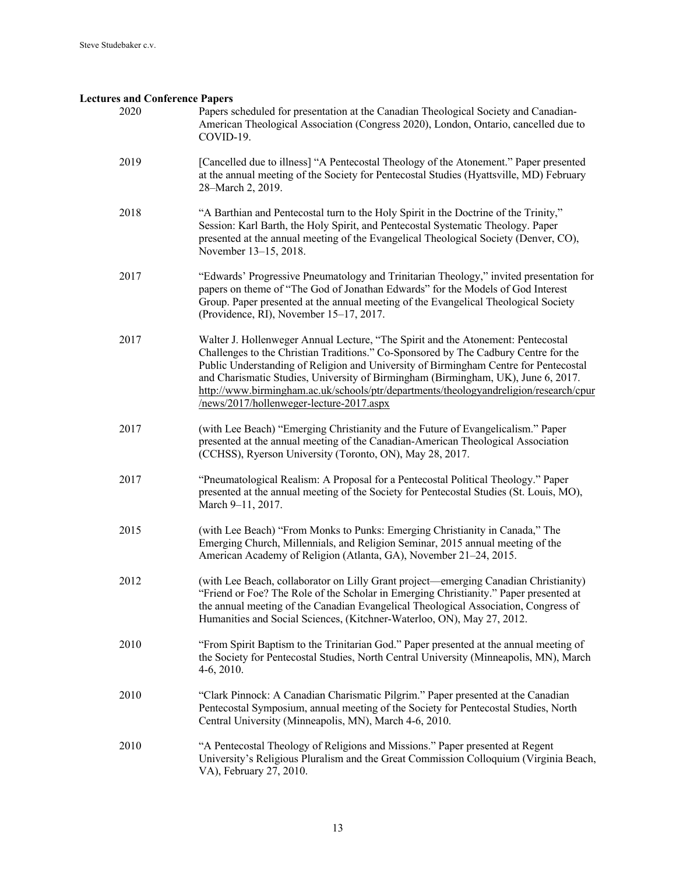#### **Lectures and Conference Papers**

- 2020 Papers scheduled for presentation at the Canadian Theological Society and Canadian-American Theological Association (Congress 2020), London, Ontario, cancelled due to COVID-19.
- 2019 [Cancelled due to illness] "A Pentecostal Theology of the Atonement." Paper presented at the annual meeting of the Society for Pentecostal Studies (Hyattsville, MD) February 28–March 2, 2019.
- 2018 "A Barthian and Pentecostal turn to the Holy Spirit in the Doctrine of the Trinity," Session: Karl Barth, the Holy Spirit, and Pentecostal Systematic Theology. Paper presented at the annual meeting of the Evangelical Theological Society (Denver, CO), November 13–15, 2018.
- 2017 "Edwards' Progressive Pneumatology and Trinitarian Theology," invited presentation for papers on theme of "The God of Jonathan Edwards" for the Models of God Interest Group. Paper presented at the annual meeting of the Evangelical Theological Society (Providence, RI), November 15–17, 2017.
- 2017 Walter J. Hollenweger Annual Lecture, "The Spirit and the Atonement: Pentecostal Challenges to the Christian Traditions." Co-Sponsored by The Cadbury Centre for the Public Understanding of Religion and University of Birmingham Centre for Pentecostal and Charismatic Studies, University of Birmingham (Birmingham, UK), June 6, 2017. http://www.birmingham.ac.uk/schools/ptr/departments/theologyandreligion/research/cpur /news/2017/hollenweger-lecture-2017.aspx
- 2017 (with Lee Beach) "Emerging Christianity and the Future of Evangelicalism." Paper presented at the annual meeting of the Canadian-American Theological Association (CCHSS), Ryerson University (Toronto, ON), May 28, 2017.
- 2017 "Pneumatological Realism: A Proposal for a Pentecostal Political Theology." Paper presented at the annual meeting of the Society for Pentecostal Studies (St. Louis, MO), March 9–11, 2017.
- 2015 (with Lee Beach) "From Monks to Punks: Emerging Christianity in Canada," The Emerging Church, Millennials, and Religion Seminar, 2015 annual meeting of the American Academy of Religion (Atlanta, GA), November 21–24, 2015.
- 2012 (with Lee Beach, collaborator on Lilly Grant project—emerging Canadian Christianity) "Friend or Foe? The Role of the Scholar in Emerging Christianity." Paper presented at the annual meeting of the Canadian Evangelical Theological Association, Congress of Humanities and Social Sciences, (Kitchner-Waterloo, ON), May 27, 2012.
- 2010 "From Spirit Baptism to the Trinitarian God." Paper presented at the annual meeting of the Society for Pentecostal Studies, North Central University (Minneapolis, MN), March 4-6, 2010.
- 2010 "Clark Pinnock: A Canadian Charismatic Pilgrim." Paper presented at the Canadian Pentecostal Symposium, annual meeting of the Society for Pentecostal Studies, North Central University (Minneapolis, MN), March 4-6, 2010.
- 2010 "A Pentecostal Theology of Religions and Missions." Paper presented at Regent University's Religious Pluralism and the Great Commission Colloquium (Virginia Beach, VA), February 27, 2010.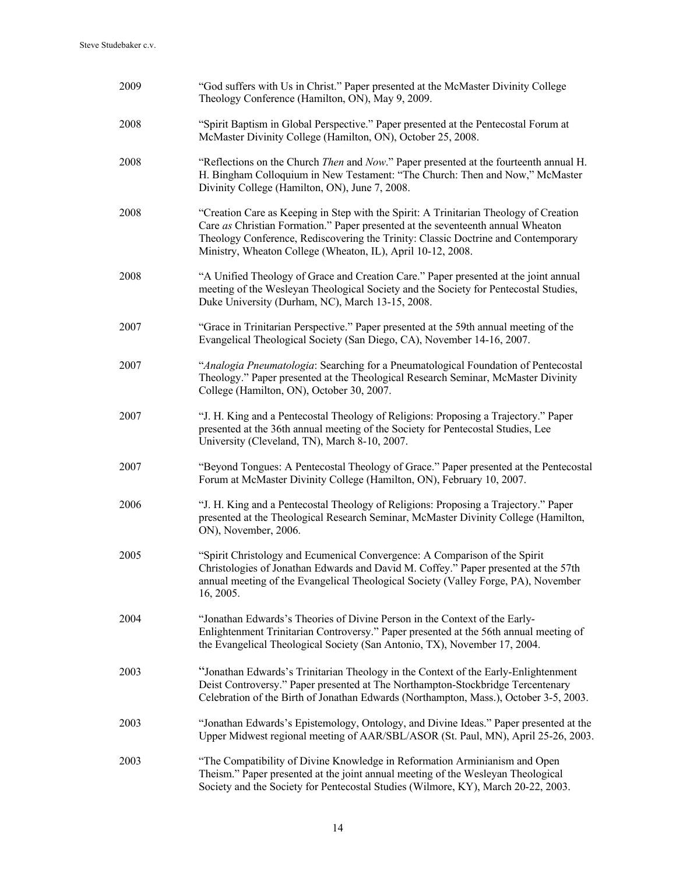| 2009 | "God suffers with Us in Christ." Paper presented at the McMaster Divinity College<br>Theology Conference (Hamilton, ON), May 9, 2009.                                                                                                                                                                                        |
|------|------------------------------------------------------------------------------------------------------------------------------------------------------------------------------------------------------------------------------------------------------------------------------------------------------------------------------|
| 2008 | "Spirit Baptism in Global Perspective." Paper presented at the Pentecostal Forum at<br>McMaster Divinity College (Hamilton, ON), October 25, 2008.                                                                                                                                                                           |
| 2008 | "Reflections on the Church Then and Now." Paper presented at the fourteenth annual H.<br>H. Bingham Colloquium in New Testament: "The Church: Then and Now," McMaster<br>Divinity College (Hamilton, ON), June 7, 2008.                                                                                                      |
| 2008 | "Creation Care as Keeping in Step with the Spirit: A Trinitarian Theology of Creation<br>Care as Christian Formation." Paper presented at the seventeenth annual Wheaton<br>Theology Conference, Rediscovering the Trinity: Classic Doctrine and Contemporary<br>Ministry, Wheaton College (Wheaton, IL), April 10-12, 2008. |
| 2008 | "A Unified Theology of Grace and Creation Care." Paper presented at the joint annual<br>meeting of the Wesleyan Theological Society and the Society for Pentecostal Studies,<br>Duke University (Durham, NC), March 13-15, 2008.                                                                                             |
| 2007 | "Grace in Trinitarian Perspective." Paper presented at the 59th annual meeting of the<br>Evangelical Theological Society (San Diego, CA), November 14-16, 2007.                                                                                                                                                              |
| 2007 | "Analogia Pneumatologia: Searching for a Pneumatological Foundation of Pentecostal<br>Theology." Paper presented at the Theological Research Seminar, McMaster Divinity<br>College (Hamilton, ON), October 30, 2007.                                                                                                         |
| 2007 | "J. H. King and a Pentecostal Theology of Religions: Proposing a Trajectory." Paper<br>presented at the 36th annual meeting of the Society for Pentecostal Studies, Lee<br>University (Cleveland, TN), March 8-10, 2007.                                                                                                     |
| 2007 | "Beyond Tongues: A Pentecostal Theology of Grace." Paper presented at the Pentecostal<br>Forum at McMaster Divinity College (Hamilton, ON), February 10, 2007.                                                                                                                                                               |
| 2006 | "J. H. King and a Pentecostal Theology of Religions: Proposing a Trajectory." Paper<br>presented at the Theological Research Seminar, McMaster Divinity College (Hamilton,<br>ON), November, 2006.                                                                                                                           |
| 2005 | "Spirit Christology and Ecumenical Convergence: A Comparison of the Spirit<br>Christologies of Jonathan Edwards and David M. Coffey." Paper presented at the 57th<br>annual meeting of the Evangelical Theological Society (Valley Forge, PA), November<br>16, 2005.                                                         |
| 2004 | "Jonathan Edwards's Theories of Divine Person in the Context of the Early-<br>Enlightenment Trinitarian Controversy." Paper presented at the 56th annual meeting of<br>the Evangelical Theological Society (San Antonio, TX), November 17, 2004.                                                                             |
| 2003 | "Jonathan Edwards's Trinitarian Theology in the Context of the Early-Enlightenment<br>Deist Controversy." Paper presented at The Northampton-Stockbridge Tercentenary<br>Celebration of the Birth of Jonathan Edwards (Northampton, Mass.), October 3-5, 2003.                                                               |
| 2003 | "Jonathan Edwards's Epistemology, Ontology, and Divine Ideas." Paper presented at the<br>Upper Midwest regional meeting of AAR/SBL/ASOR (St. Paul, MN), April 25-26, 2003.                                                                                                                                                   |
| 2003 | "The Compatibility of Divine Knowledge in Reformation Arminianism and Open<br>Theism." Paper presented at the joint annual meeting of the Wesleyan Theological<br>Society and the Society for Pentecostal Studies (Wilmore, KY), March 20-22, 2003.                                                                          |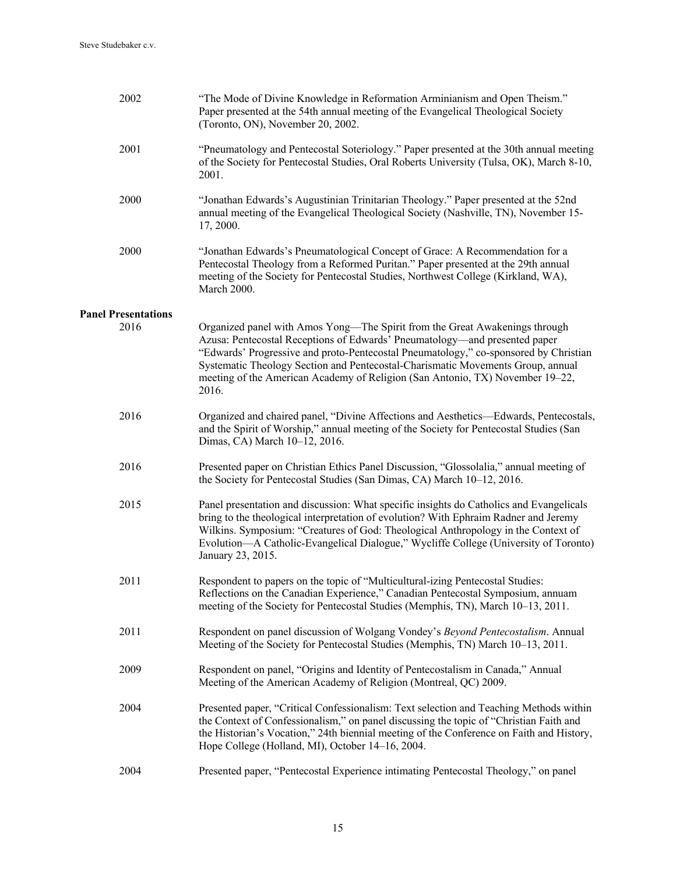| 2002                       | "The Mode of Divine Knowledge in Reformation Arminianism and Open Theism."<br>Paper presented at the 54th annual meeting of the Evangelical Theological Society<br>(Toronto, ON), November 20, 2002.                                                                                                                                                                                                                           |
|----------------------------|--------------------------------------------------------------------------------------------------------------------------------------------------------------------------------------------------------------------------------------------------------------------------------------------------------------------------------------------------------------------------------------------------------------------------------|
| 2001                       | "Pneumatology and Pentecostal Soteriology." Paper presented at the 30th annual meeting<br>of the Society for Pentecostal Studies, Oral Roberts University (Tulsa, OK), March 8-10,<br>2001.                                                                                                                                                                                                                                    |
| 2000                       | "Jonathan Edwards's Augustinian Trinitarian Theology." Paper presented at the 52nd<br>annual meeting of the Evangelical Theological Society (Nashville, TN), November 15-<br>17, 2000.                                                                                                                                                                                                                                         |
| 2000                       | "Jonathan Edwards's Pneumatological Concept of Grace: A Recommendation for a<br>Pentecostal Theology from a Reformed Puritan." Paper presented at the 29th annual<br>meeting of the Society for Pentecostal Studies, Northwest College (Kirkland, WA),<br><b>March 2000.</b>                                                                                                                                                   |
| <b>Panel Presentations</b> |                                                                                                                                                                                                                                                                                                                                                                                                                                |
| 2016                       | Organized panel with Amos Yong—The Spirit from the Great Awakenings through<br>Azusa: Pentecostal Receptions of Edwards' Pneumatology—and presented paper<br>"Edwards' Progressive and proto-Pentecostal Pneumatology," co-sponsored by Christian<br>Systematic Theology Section and Pentecostal-Charismatic Movements Group, annual<br>meeting of the American Academy of Religion (San Antonio, TX) November 19–22,<br>2016. |
| 2016                       | Organized and chaired panel, "Divine Affections and Aesthetics—Edwards, Pentecostals,<br>and the Spirit of Worship," annual meeting of the Society for Pentecostal Studies (San<br>Dimas, CA) March 10-12, 2016.                                                                                                                                                                                                               |
| 2016                       | Presented paper on Christian Ethics Panel Discussion, "Glossolalia," annual meeting of<br>the Society for Pentecostal Studies (San Dimas, CA) March 10–12, 2016.                                                                                                                                                                                                                                                               |
| 2015                       | Panel presentation and discussion: What specific insights do Catholics and Evangelicals<br>bring to the theological interpretation of evolution? With Ephraim Radner and Jeremy<br>Wilkins. Symposium: "Creatures of God: Theological Anthropology in the Context of<br>Evolution—A Catholic-Evangelical Dialogue," Wycliffe College (University of Toronto)<br>January 23, 2015.                                              |
| 2011                       | Respondent to papers on the topic of "Multicultural-izing Pentecostal Studies:<br>Reflections on the Canadian Experience," Canadian Pentecostal Symposium, annuam<br>meeting of the Society for Pentecostal Studies (Memphis, TN), March 10-13, 2011.                                                                                                                                                                          |
| 2011                       | Respondent on panel discussion of Wolgang Vondey's Beyond Pentecostalism. Annual<br>Meeting of the Society for Pentecostal Studies (Memphis, TN) March 10-13, 2011.                                                                                                                                                                                                                                                            |
| 2009                       | Respondent on panel, "Origins and Identity of Pentecostalism in Canada," Annual<br>Meeting of the American Academy of Religion (Montreal, QC) 2009.                                                                                                                                                                                                                                                                            |
| 2004                       | Presented paper, "Critical Confessionalism: Text selection and Teaching Methods within<br>the Context of Confessionalism," on panel discussing the topic of "Christian Faith and<br>the Historian's Vocation," 24th biennial meeting of the Conference on Faith and History,<br>Hope College (Holland, MI), October 14-16, 2004.                                                                                               |
| 2004                       | Presented paper, "Pentecostal Experience intimating Pentecostal Theology," on panel                                                                                                                                                                                                                                                                                                                                            |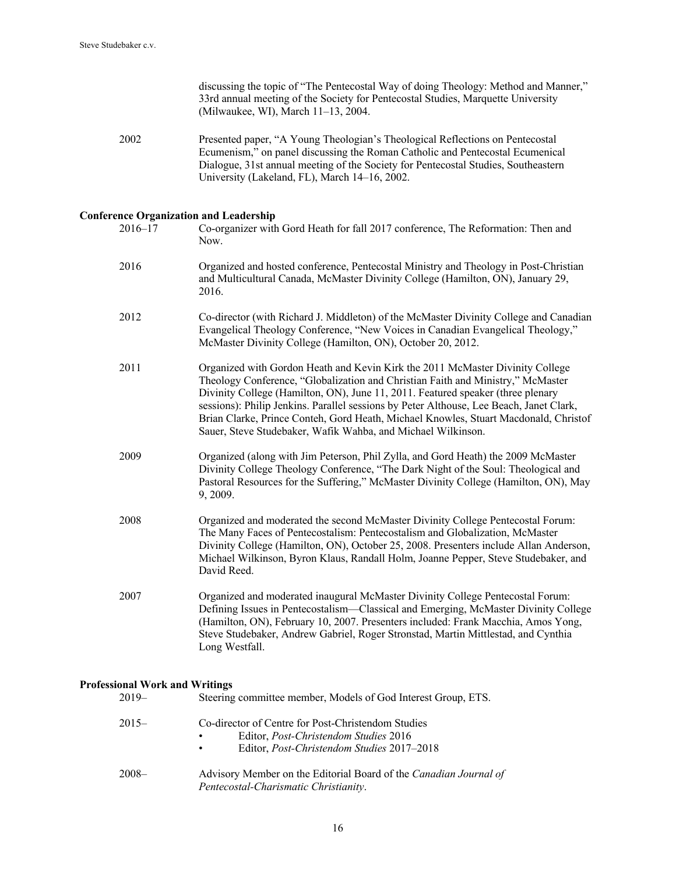discussing the topic of "The Pentecostal Way of doing Theology: Method and Manner," 33rd annual meeting of the Society for Pentecostal Studies, Marquette University (Milwaukee, WI), March 11–13, 2004.

2002 Presented paper, "A Young Theologian's Theological Reflections on Pentecostal Ecumenism," on panel discussing the Roman Catholic and Pentecostal Ecumenical Dialogue, 31st annual meeting of the Society for Pentecostal Studies, Southeastern University (Lakeland, FL), March 14–16, 2002.

## **Conference Organization and Leadership**

| $2016 - 17$ | Co-organizer with Gord Heath for fall 2017 conference, The Reformation: Then and<br>Now.                                                                                                                                                                                                                                                                                                                                                                                                               |
|-------------|--------------------------------------------------------------------------------------------------------------------------------------------------------------------------------------------------------------------------------------------------------------------------------------------------------------------------------------------------------------------------------------------------------------------------------------------------------------------------------------------------------|
| 2016        | Organized and hosted conference, Pentecostal Ministry and Theology in Post-Christian<br>and Multicultural Canada, McMaster Divinity College (Hamilton, ON), January 29,<br>2016.                                                                                                                                                                                                                                                                                                                       |
| 2012        | Co-director (with Richard J. Middleton) of the McMaster Divinity College and Canadian<br>Evangelical Theology Conference, "New Voices in Canadian Evangelical Theology,"<br>McMaster Divinity College (Hamilton, ON), October 20, 2012.                                                                                                                                                                                                                                                                |
| 2011        | Organized with Gordon Heath and Kevin Kirk the 2011 McMaster Divinity College<br>Theology Conference, "Globalization and Christian Faith and Ministry," McMaster<br>Divinity College (Hamilton, ON), June 11, 2011. Featured speaker (three plenary<br>sessions): Philip Jenkins. Parallel sessions by Peter Althouse, Lee Beach, Janet Clark,<br>Brian Clarke, Prince Conteh, Gord Heath, Michael Knowles, Stuart Macdonald, Christof<br>Sauer, Steve Studebaker, Wafik Wahba, and Michael Wilkinson. |
| 2009        | Organized (along with Jim Peterson, Phil Zylla, and Gord Heath) the 2009 McMaster<br>Divinity College Theology Conference, "The Dark Night of the Soul: Theological and<br>Pastoral Resources for the Suffering," McMaster Divinity College (Hamilton, ON), May<br>9, 2009.                                                                                                                                                                                                                            |
| 2008        | Organized and moderated the second McMaster Divinity College Pentecostal Forum:<br>The Many Faces of Pentecostalism: Pentecostalism and Globalization, McMaster<br>Divinity College (Hamilton, ON), October 25, 2008. Presenters include Allan Anderson,<br>Michael Wilkinson, Byron Klaus, Randall Holm, Joanne Pepper, Steve Studebaker, and<br>David Reed.                                                                                                                                          |
| 2007        | Organized and moderated inaugural McMaster Divinity College Pentecostal Forum:<br>Defining Issues in Pentecostalism—Classical and Emerging, McMaster Divinity College<br>(Hamilton, ON), February 10, 2007. Presenters included: Frank Macchia, Amos Yong,<br>Steve Studebaker, Andrew Gabriel, Roger Stronstad, Martin Mittlestad, and Cynthia<br>Long Westfall.                                                                                                                                      |

## **Professional Work and Writings**

| $2019-$ | Steering committee member, Models of God Interest Group, ETS.                                                                                              |
|---------|------------------------------------------------------------------------------------------------------------------------------------------------------------|
| $2015-$ | Co-director of Centre for Post-Christendom Studies<br>Editor, <i>Post-Christendom Studies</i> 2016<br>٠<br>Editor, Post-Christendom Studies 2017-2018<br>٠ |
| $2008-$ | Advisory Member on the Editorial Board of the Canadian Journal of<br>Pentecostal-Charismatic Christianity.                                                 |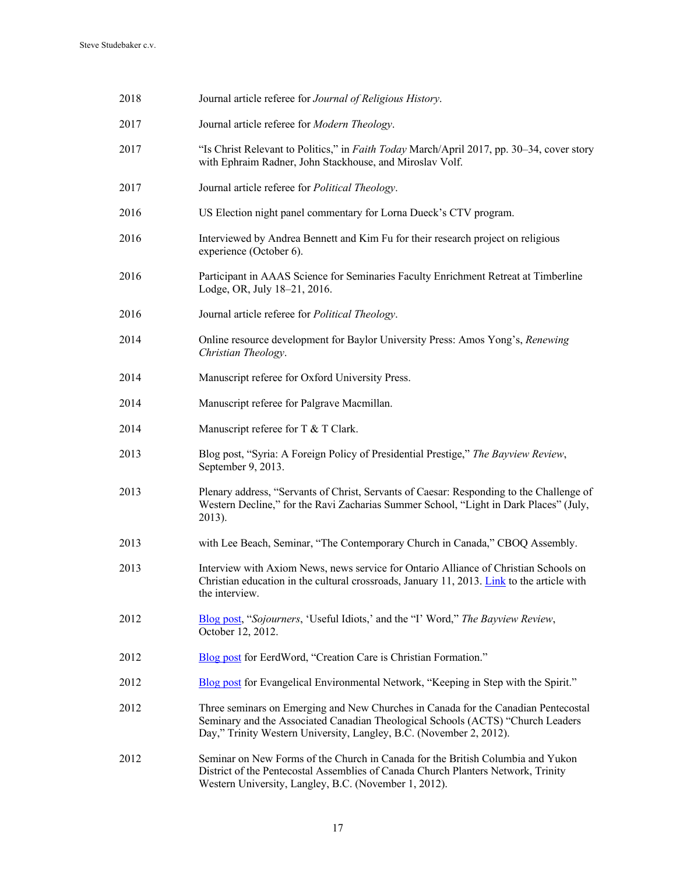| 2018 | Journal article referee for Journal of Religious History.                                                                                                                                                                                    |
|------|----------------------------------------------------------------------------------------------------------------------------------------------------------------------------------------------------------------------------------------------|
| 2017 | Journal article referee for Modern Theology.                                                                                                                                                                                                 |
| 2017 | "Is Christ Relevant to Politics," in Faith Today March/April 2017, pp. 30–34, cover story<br>with Ephraim Radner, John Stackhouse, and Miroslav Volf.                                                                                        |
| 2017 | Journal article referee for Political Theology.                                                                                                                                                                                              |
| 2016 | US Election night panel commentary for Lorna Dueck's CTV program.                                                                                                                                                                            |
| 2016 | Interviewed by Andrea Bennett and Kim Fu for their research project on religious<br>experience (October 6).                                                                                                                                  |
| 2016 | Participant in AAAS Science for Seminaries Faculty Enrichment Retreat at Timberline<br>Lodge, OR, July 18-21, 2016.                                                                                                                          |
| 2016 | Journal article referee for Political Theology.                                                                                                                                                                                              |
| 2014 | Online resource development for Baylor University Press: Amos Yong's, Renewing<br>Christian Theology.                                                                                                                                        |
| 2014 | Manuscript referee for Oxford University Press.                                                                                                                                                                                              |
| 2014 | Manuscript referee for Palgrave Macmillan.                                                                                                                                                                                                   |
| 2014 | Manuscript referee for T & T Clark.                                                                                                                                                                                                          |
| 2013 | Blog post, "Syria: A Foreign Policy of Presidential Prestige," The Bayview Review,<br>September 9, 2013.                                                                                                                                     |
| 2013 | Plenary address, "Servants of Christ, Servants of Caesar: Responding to the Challenge of<br>Western Decline," for the Ravi Zacharias Summer School, "Light in Dark Places" (July,<br>2013).                                                  |
| 2013 | with Lee Beach, Seminar, "The Contemporary Church in Canada," CBOQ Assembly.                                                                                                                                                                 |
| 2013 | Interview with Axiom News, news service for Ontario Alliance of Christian Schools on<br>Christian education in the cultural crossroads, January 11, 2013. Link to the article with<br>the interview.                                         |
| 2012 | Blog post, "Sojourners, 'Useful Idiots,' and the "I' Word," The Bayview Review,<br>October 12, 2012.                                                                                                                                         |
| 2012 | Blog post for EerdWord, "Creation Care is Christian Formation."                                                                                                                                                                              |
| 2012 | Blog post for Evangelical Environmental Network, "Keeping in Step with the Spirit."                                                                                                                                                          |
| 2012 | Three seminars on Emerging and New Churches in Canada for the Canadian Pentecostal<br>Seminary and the Associated Canadian Theological Schools (ACTS) "Church Leaders<br>Day," Trinity Western University, Langley, B.C. (November 2, 2012). |
| 2012 | Seminar on New Forms of the Church in Canada for the British Columbia and Yukon<br>District of the Pentecostal Assemblies of Canada Church Planters Network, Trinity<br>Western University, Langley, B.C. (November 1, 2012).                |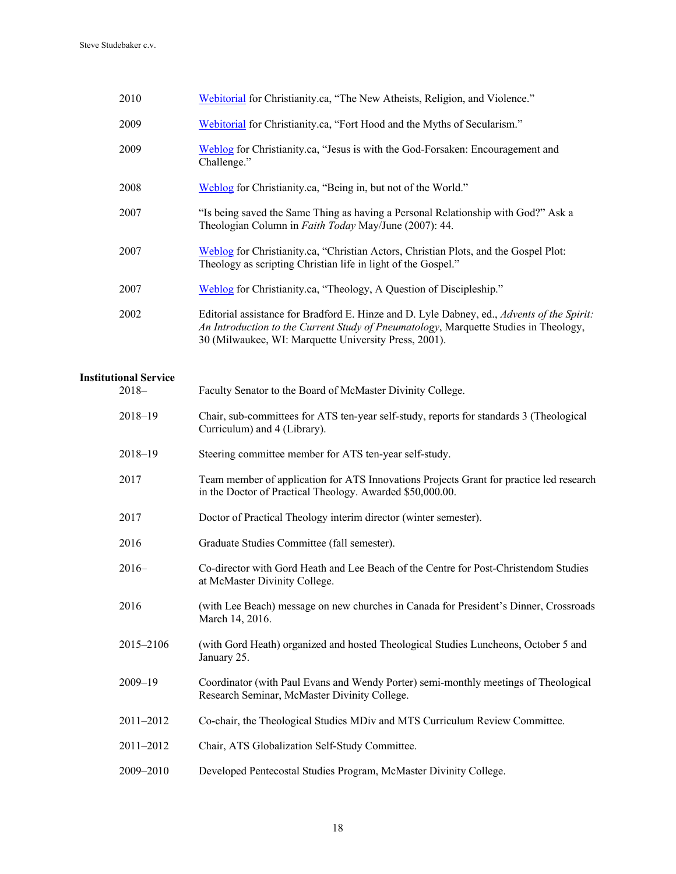| 2010 | Webitorial for Christianity.ca, "The New Atheists, Religion, and Violence."                                                                                                                                                                 |
|------|---------------------------------------------------------------------------------------------------------------------------------------------------------------------------------------------------------------------------------------------|
| 2009 | Webitorial for Christianity.ca, "Fort Hood and the Myths of Secularism."                                                                                                                                                                    |
| 2009 | Weblog for Christianity.ca, "Jesus is with the God-Forsaken: Encouragement and<br>Challenge."                                                                                                                                               |
| 2008 | Weblog for Christianity.ca, "Being in, but not of the World."                                                                                                                                                                               |
| 2007 | "Is being saved the Same Thing as having a Personal Relationship with God?" Ask a<br>Theologian Column in Faith Today May/June (2007): 44.                                                                                                  |
| 2007 | Weblog for Christianity.ca, "Christian Actors, Christian Plots, and the Gospel Plot:<br>Theology as scripting Christian life in light of the Gospel."                                                                                       |
| 2007 | Weblog for Christianity.ca, "Theology, A Question of Discipleship."                                                                                                                                                                         |
| 2002 | Editorial assistance for Bradford E. Hinze and D. Lyle Dabney, ed., Advents of the Spirit:<br>An Introduction to the Current Study of Pneumatology, Marquette Studies in Theology,<br>30 (Milwaukee, WI: Marquette University Press, 2001). |
|      |                                                                                                                                                                                                                                             |

# **Institutional Service**

| onal Service |                                                                                                                                                      |
|--------------|------------------------------------------------------------------------------------------------------------------------------------------------------|
| 2018–        | Faculty Senator to the Board of McMaster Divinity College.                                                                                           |
| 2018-19      | Chair, sub-committees for ATS ten-year self-study, reports for standards 3 (Theological<br>Curriculum) and 4 (Library).                              |
| 2018-19      | Steering committee member for ATS ten-year self-study.                                                                                               |
| 2017         | Team member of application for ATS Innovations Projects Grant for practice led research<br>in the Doctor of Practical Theology. Awarded \$50,000.00. |
| 2017         | Doctor of Practical Theology interim director (winter semester).                                                                                     |
| 2016         | Graduate Studies Committee (fall semester).                                                                                                          |
| $2016-$      | Co-director with Gord Heath and Lee Beach of the Centre for Post-Christendom Studies<br>at McMaster Divinity College.                                |
| 2016         | (with Lee Beach) message on new churches in Canada for President's Dinner, Crossroads<br>March 14, 2016.                                             |
| 2015–2106    | (with Gord Heath) organized and hosted Theological Studies Luncheons, October 5 and<br>January 25.                                                   |
| 2009-19      | Coordinator (with Paul Evans and Wendy Porter) semi-monthly meetings of Theological<br>Research Seminar, McMaster Divinity College.                  |
| 2011-2012    | Co-chair, the Theological Studies MDiv and MTS Curriculum Review Committee.                                                                          |
| 2011-2012    | Chair, ATS Globalization Self-Study Committee.                                                                                                       |
| 2009-2010    | Developed Pentecostal Studies Program, McMaster Divinity College.                                                                                    |
|              |                                                                                                                                                      |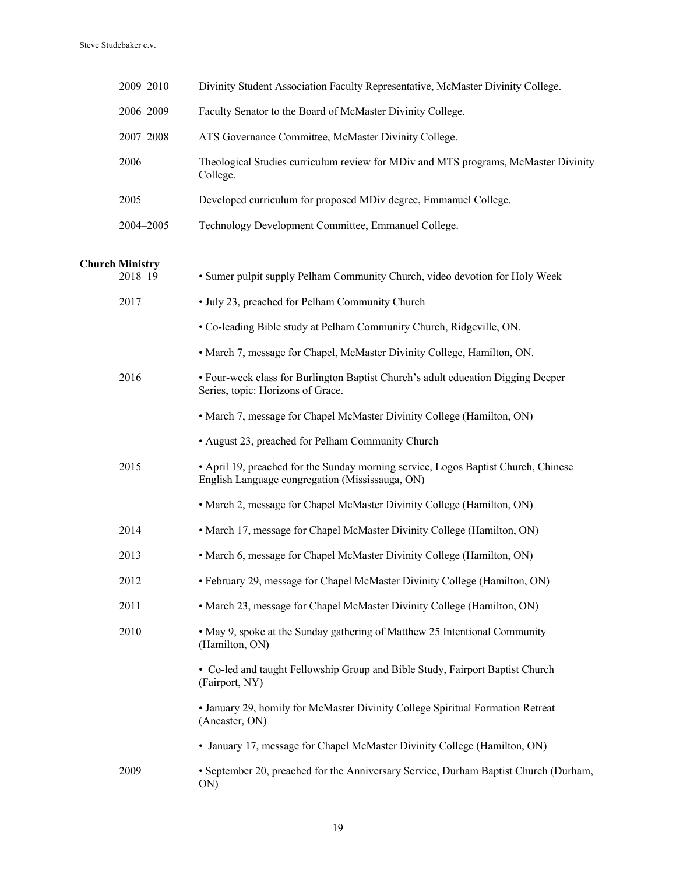| 2009-2010              | Divinity Student Association Faculty Representative, McMaster Divinity College.                                                       |
|------------------------|---------------------------------------------------------------------------------------------------------------------------------------|
| 2006-2009              | Faculty Senator to the Board of McMaster Divinity College.                                                                            |
| 2007-2008              | ATS Governance Committee, McMaster Divinity College.                                                                                  |
| 2006                   | Theological Studies curriculum review for MDiv and MTS programs, McMaster Divinity<br>College.                                        |
| 2005                   | Developed curriculum for proposed MDiv degree, Emmanuel College.                                                                      |
| 2004-2005              | Technology Development Committee, Emmanuel College.                                                                                   |
| <b>Church Ministry</b> |                                                                                                                                       |
| $2018 - 19$            | • Sumer pulpit supply Pelham Community Church, video devotion for Holy Week                                                           |
| 2017                   | • July 23, preached for Pelham Community Church                                                                                       |
|                        | • Co-leading Bible study at Pelham Community Church, Ridgeville, ON.                                                                  |
|                        | • March 7, message for Chapel, McMaster Divinity College, Hamilton, ON.                                                               |
| 2016                   | • Four-week class for Burlington Baptist Church's adult education Digging Deeper<br>Series, topic: Horizons of Grace.                 |
|                        | • March 7, message for Chapel McMaster Divinity College (Hamilton, ON)                                                                |
|                        | • August 23, preached for Pelham Community Church                                                                                     |
| 2015                   | • April 19, preached for the Sunday morning service, Logos Baptist Church, Chinese<br>English Language congregation (Mississauga, ON) |
|                        | • March 2, message for Chapel McMaster Divinity College (Hamilton, ON)                                                                |
| 2014                   | • March 17, message for Chapel McMaster Divinity College (Hamilton, ON)                                                               |
| 2013                   | • March 6, message for Chapel McMaster Divinity College (Hamilton, ON)                                                                |
| 2012                   | · February 29, message for Chapel McMaster Divinity College (Hamilton, ON)                                                            |
| 2011                   | • March 23, message for Chapel McMaster Divinity College (Hamilton, ON)                                                               |
| 2010                   | • May 9, spoke at the Sunday gathering of Matthew 25 Intentional Community<br>(Hamilton, ON)                                          |
|                        | • Co-led and taught Fellowship Group and Bible Study, Fairport Baptist Church<br>(Fairport, NY)                                       |
|                        | • January 29, homily for McMaster Divinity College Spiritual Formation Retreat<br>(Ancaster, ON)                                      |
|                        | • January 17, message for Chapel McMaster Divinity College (Hamilton, ON)                                                             |
| 2009                   | • September 20, preached for the Anniversary Service, Durham Baptist Church (Durham,<br>ON)                                           |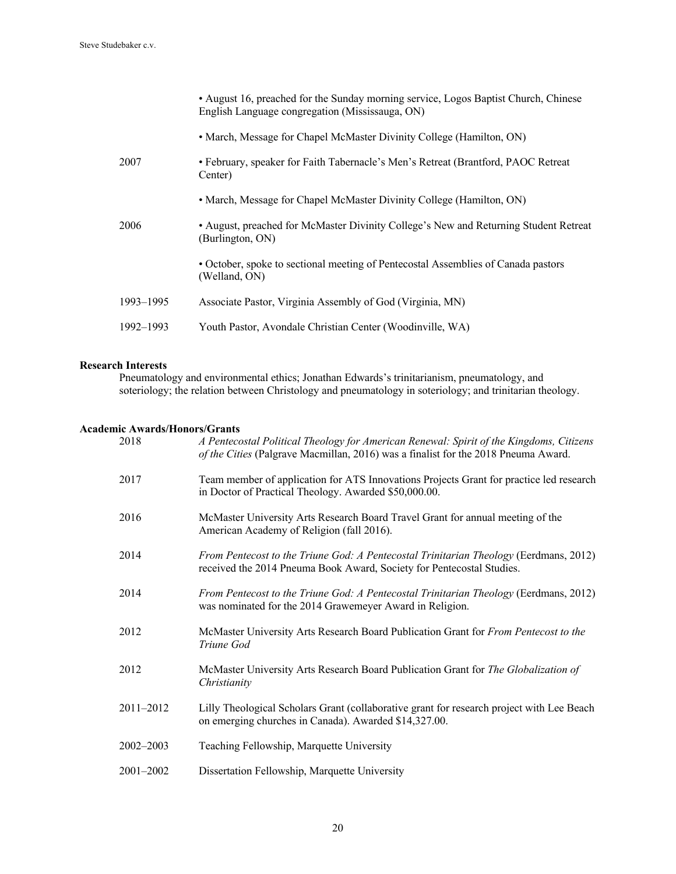|           | • August 16, preached for the Sunday morning service, Logos Baptist Church, Chinese<br>English Language congregation (Mississauga, ON) |
|-----------|----------------------------------------------------------------------------------------------------------------------------------------|
|           | • March, Message for Chapel McMaster Divinity College (Hamilton, ON)                                                                   |
| 2007      | • February, speaker for Faith Tabernacle's Men's Retreat (Brantford, PAOC Retreat<br>Center)                                           |
|           | • March, Message for Chapel McMaster Divinity College (Hamilton, ON)                                                                   |
| 2006      | • August, preached for McMaster Divinity College's New and Returning Student Retreat<br>(Burlington, ON)                               |
|           | • October, spoke to sectional meeting of Pentecostal Assemblies of Canada pastors<br>(Welland, ON)                                     |
| 1993-1995 | Associate Pastor, Virginia Assembly of God (Virginia, MN)                                                                              |
| 1992–1993 | Youth Pastor, Avondale Christian Center (Woodinville, WA)                                                                              |
|           |                                                                                                                                        |

## **Research Interests**

Pneumatology and environmental ethics; Jonathan Edwards's trinitarianism, pneumatology, and soteriology; the relation between Christology and pneumatology in soteriology; and trinitarian theology.

## **Academic Awards/Honors/Grants**

| 2018      | A Pentecostal Political Theology for American Renewal: Spirit of the Kingdoms, Citizens<br>of the Cities (Palgrave Macmillan, 2016) was a finalist for the 2018 Pneuma Award. |
|-----------|-------------------------------------------------------------------------------------------------------------------------------------------------------------------------------|
| 2017      | Team member of application for ATS Innovations Projects Grant for practice led research<br>in Doctor of Practical Theology. Awarded \$50,000.00.                              |
| 2016      | McMaster University Arts Research Board Travel Grant for annual meeting of the<br>American Academy of Religion (fall 2016).                                                   |
| 2014      | From Pentecost to the Triune God: A Pentecostal Trinitarian Theology (Eerdmans, 2012)<br>received the 2014 Pneuma Book Award, Society for Pentecostal Studies.                |
| 2014      | From Pentecost to the Triune God: A Pentecostal Trinitarian Theology (Eerdmans, 2012)<br>was nominated for the 2014 Grawemeyer Award in Religion.                             |
| 2012      | McMaster University Arts Research Board Publication Grant for From Pentecost to the<br>Triune God                                                                             |
| 2012      | McMaster University Arts Research Board Publication Grant for The Globalization of<br>Christianity                                                                            |
| 2011-2012 | Lilly Theological Scholars Grant (collaborative grant for research project with Lee Beach<br>on emerging churches in Canada). Awarded \$14,327.00.                            |
| 2002-2003 | Teaching Fellowship, Marquette University                                                                                                                                     |
| 2001-2002 | Dissertation Fellowship, Marquette University                                                                                                                                 |